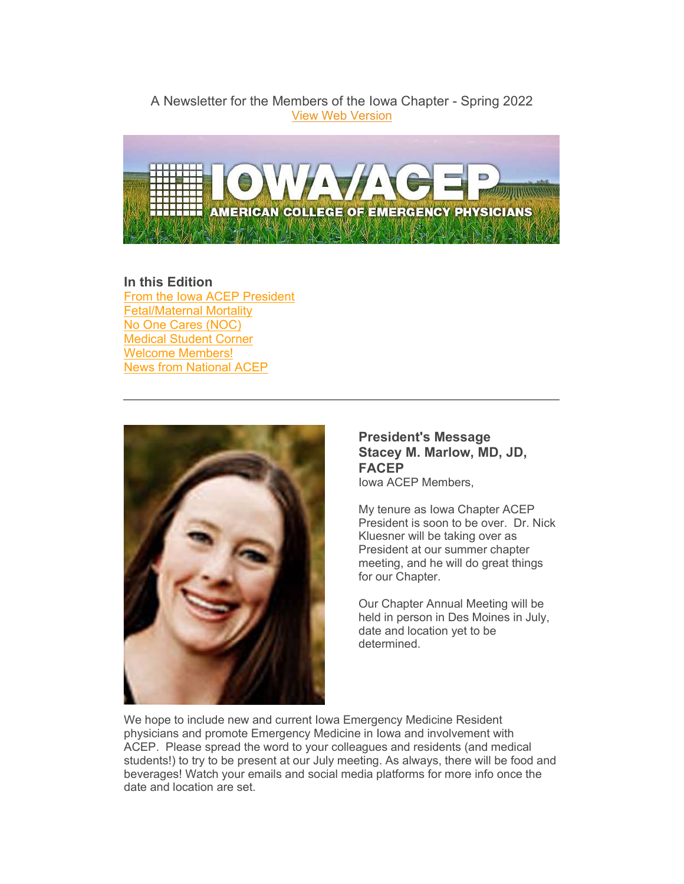A Newsletter for the Members of the Iowa Chapter - Spring 2022 [View Web Version](https://elink.clickdimensions.com/m/1/61309708/02-b22165-6da14497a3134aa29eb259756d50b208/1/99/5e04382a-334a-4cd1-b665-8ce1db940c4a)



# **In this Edition** [From the Iowa ACEP President](#page-0-0) [Fetal/Maternal Mortality](#page-1-0) [No One Cares \(NOC\)](#page-1-1) [Medical Student Corner](#page-3-0) [Welcome Members!](#page-4-0) [News from National ACEP](#page-5-0)



# <span id="page-0-0"></span>**President's Message Stacey M. Marlow, MD, JD, FACEP** Iowa ACEP Members,

My tenure as Iowa Chapter ACEP President is soon to be over. Dr. Nick Kluesner will be taking over as President at our summer chapter meeting, and he will do great things for our Chapter.

Our Chapter Annual Meeting will be held in person in Des Moines in July, date and location yet to be determined.

We hope to include new and current Iowa Emergency Medicine Resident physicians and promote Emergency Medicine in Iowa and involvement with ACEP. Please spread the word to your colleagues and residents (and medical students!) to try to be present at our July meeting. As always, there will be food and beverages! Watch your emails and social media platforms for more info once the date and location are set.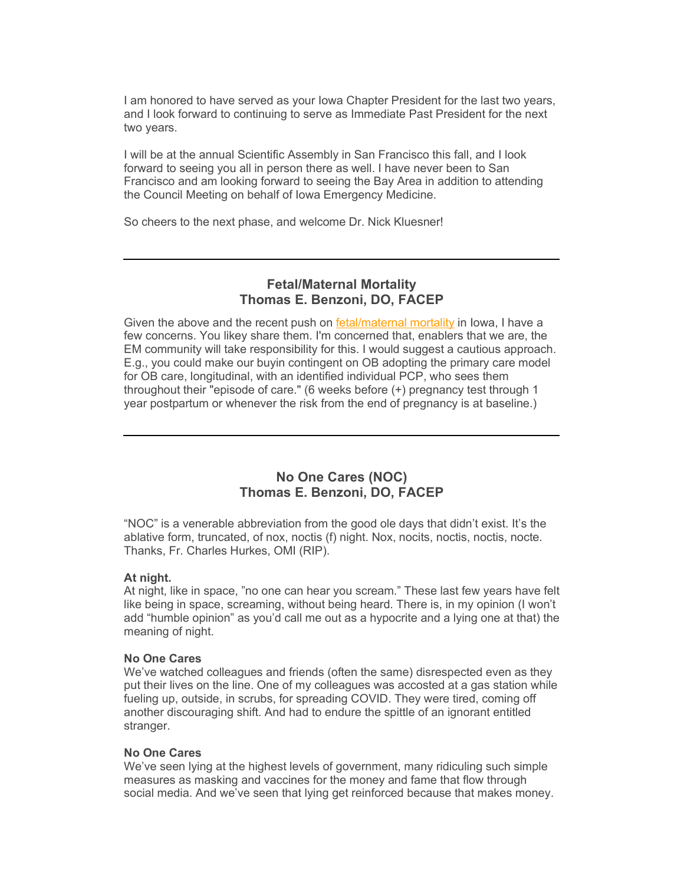I am honored to have served as your Iowa Chapter President for the last two years, and I look forward to continuing to serve as Immediate Past President for the next two years.

I will be at the annual Scientific Assembly in San Francisco this fall, and I look forward to seeing you all in person there as well. I have never been to San Francisco and am looking forward to seeing the Bay Area in addition to attending the Council Meeting on behalf of Iowa Emergency Medicine.

So cheers to the next phase, and welcome Dr. Nick Kluesner!

# <span id="page-1-0"></span>**Fetal/Maternal Mortality Thomas E. Benzoni, DO, FACEP**

Given the above and the recent push on [fetal/maternal mortality](https://elink.clickdimensions.com/c/7/eyJhaSI6NjEzMDk3MDgsImUiOiJlY29yZG92YUBhY2VwLm9yZyIsInJpIjoiY29udGFjdC1iZjJkYjBjOTMxZGNlYzExYTlkMGM3MGI1MWJiYTNhYi03M2VhYjdmNzNkZWI0ZThhYWZiYzI2YzAyYzhjOTdmNSIsInJxIjoiMDItYjIyMTY1LTZkYTE0NDk3YTMxMzRhYTI5ZWIyNTk3NTZkNTBiMjA4IiwicGgiOm51bGwsIm0iOmZhbHNlLCJ1aSI6IjIiLCJ1biI6IlByZXNpZGVudCIsInUiOiJodHRwczovL3d3dy5jb21tb253ZWFsdGhmdW5kLm9yZy9wdWJsaWNhdGlvbnMvaXNzdWUtYnJpZWZzLzIwMjIvYXByL2hlYWx0aC1hbmQtaGVhbHRoLWNhcmUtd29tZW4tcmVwcm9kdWN0aXZlLWFnZT9fY2xkZWU9VExqWFRleTVocHdHNEJCOGFvRDVrTjBZRmphaTZtMmFySGwzSTlaVTFfNzRrUlpsOVp6WW9RMW82Z2RBaTdxViZyZWNpcGllbnRpZD1jb250YWN0LWJmMmRiMGM5MzFkY2VjMTFhOWQwYzcwYjUxYmJhM2FiLTczZWFiN2Y3M2RlYjRlOGFhZmJjMjZjMDJjOGM5N2Y1JmVzaWQ9MmQwOTgxMTUtMjFlYy1lYzExLWE5ZDAtYzcwYjUxYmJhM2FiIn0/jBaSb-yOm5VySpZSk6F2wg) in lowa, I have a few concerns. You likey share them. I'm concerned that, enablers that we are, the EM community will take responsibility for this. I would suggest a cautious approach. E.g., you could make our buyin contingent on OB adopting the primary care model for OB care, longitudinal, with an identified individual PCP, who sees them throughout their "episode of care." (6 weeks before (+) pregnancy test through 1 year postpartum or whenever the risk from the end of pregnancy is at baseline.)

# <span id="page-1-1"></span>**No One Cares (NOC) Thomas E. Benzoni, DO, FACEP**

"NOC" is a venerable abbreviation from the good ole days that didn't exist. It's the ablative form, truncated, of nox, noctis (f) night. Nox, nocits, noctis, noctis, nocte. Thanks, Fr. Charles Hurkes, OMI (RIP).

## **At night.**

At night, like in space, "no one can hear you scream." These last few years have felt like being in space, screaming, without being heard. There is, in my opinion (I won't add "humble opinion" as you'd call me out as a hypocrite and a lying one at that) the meaning of night.

#### **No One Cares**

We've watched colleagues and friends (often the same) disrespected even as they put their lives on the line. One of my colleagues was accosted at a gas station while fueling up, outside, in scrubs, for spreading COVID. They were tired, coming off another discouraging shift. And had to endure the spittle of an ignorant entitled stranger.

#### **No One Cares**

We've seen lying at the highest levels of government, many ridiculing such simple measures as masking and vaccines for the money and fame that flow through social media. And we've seen that lying get reinforced because that makes money.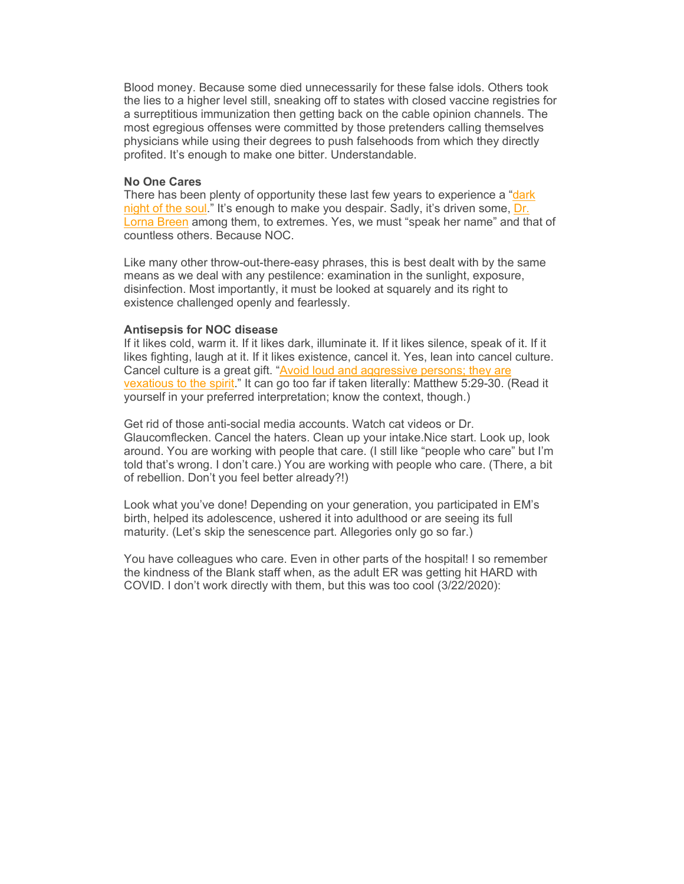Blood money. Because some died unnecessarily for these false idols. Others took the lies to a higher level still, sneaking off to states with closed vaccine registries for a surreptitious immunization then getting back on the cable opinion channels. The most egregious offenses were committed by those pretenders calling themselves physicians while using their degrees to push falsehoods from which they directly profited. It's enough to make one bitter. Understandable.

#### **No One Cares**

There has been plenty of opportunity these last few years to experience a ["dark](https://elink.clickdimensions.com/c/7/eyJhaSI6NjEzMDk3MDgsImUiOiJlY29yZG92YUBhY2VwLm9yZyIsInJpIjoiY29udGFjdC1iZjJkYjBjOTMxZGNlYzExYTlkMGM3MGI1MWJiYTNhYi03M2VhYjdmNzNkZWI0ZThhYWZiYzI2YzAyYzhjOTdmNSIsInJxIjoiMDItYjIyMTY1LTZkYTE0NDk3YTMxMzRhYTI5ZWIyNTk3NTZkNTBiMjA4IiwicGgiOm51bGwsIm0iOmZhbHNlLCJ1aSI6IjMiLCJ1biI6Ik5PQyIsInUiOiJKb2huIG9mIHRoZSBDcm9zcyBodHRwczovL2VuLndpa2lwZWRpYS5vcmcvd2lraS9EYXJrX05pZ2h0X29mX3RoZV9Tb3VsP19jbGRlZT1UTGpYVGV5NWhwd0c0QkI4YW9ENWtOMFlGamFpNm0yYXJIbDNJOVpVMV83NGtSWmw5WnpZb1ExbzZnZEFpN3FWJnJlY2lwaWVudGlkPWNvbnRhY3QtYmYyZGIwYzkzMWRjZWMxMWE5ZDBjNzBiNTFiYmEzYWItNzNlYWI3ZjczZGViNGU4YWFmYmMyNmMwMmM4Yzk3ZjUmZXNpZD0yZDA5ODExNS0yMWVjLWVjMTEtYTlkMC1jNzBiNTFiYmEzYWIifQ/5efaLjpHXkQl4pJKTjpDxA)  [night of the soul.](https://elink.clickdimensions.com/c/7/eyJhaSI6NjEzMDk3MDgsImUiOiJlY29yZG92YUBhY2VwLm9yZyIsInJpIjoiY29udGFjdC1iZjJkYjBjOTMxZGNlYzExYTlkMGM3MGI1MWJiYTNhYi03M2VhYjdmNzNkZWI0ZThhYWZiYzI2YzAyYzhjOTdmNSIsInJxIjoiMDItYjIyMTY1LTZkYTE0NDk3YTMxMzRhYTI5ZWIyNTk3NTZkNTBiMjA4IiwicGgiOm51bGwsIm0iOmZhbHNlLCJ1aSI6IjMiLCJ1biI6Ik5PQyIsInUiOiJKb2huIG9mIHRoZSBDcm9zcyBodHRwczovL2VuLndpa2lwZWRpYS5vcmcvd2lraS9EYXJrX05pZ2h0X29mX3RoZV9Tb3VsP19jbGRlZT1UTGpYVGV5NWhwd0c0QkI4YW9ENWtOMFlGamFpNm0yYXJIbDNJOVpVMV83NGtSWmw5WnpZb1ExbzZnZEFpN3FWJnJlY2lwaWVudGlkPWNvbnRhY3QtYmYyZGIwYzkzMWRjZWMxMWE5ZDBjNzBiNTFiYmEzYWItNzNlYWI3ZjczZGViNGU4YWFmYmMyNmMwMmM4Yzk3ZjUmZXNpZD0yZDA5ODExNS0yMWVjLWVjMTEtYTlkMC1jNzBiNTFiYmEzYWIifQ/5efaLjpHXkQl4pJKTjpDxA)" It's enough to make you despair. Sadly, it's driven some, [Dr.](https://elink.clickdimensions.com/c/7/eyJhaSI6NjEzMDk3MDgsImUiOiJlY29yZG92YUBhY2VwLm9yZyIsInJpIjoiY29udGFjdC1iZjJkYjBjOTMxZGNlYzExYTlkMGM3MGI1MWJiYTNhYi03M2VhYjdmNzNkZWI0ZThhYWZiYzI2YzAyYzhjOTdmNSIsInJxIjoiMDItYjIyMTY1LTZkYTE0NDk3YTMxMzRhYTI5ZWIyNTk3NTZkNTBiMjA4IiwicGgiOm51bGwsIm0iOmZhbHNlLCJ1aSI6IjQiLCJ1biI6IiIsInUiOiJodHRwczovL3d3dy5ueXRpbWVzLmNvbS8yMDIwLzA0LzI3L255cmVnaW9uL25ldy15b3JrLWNpdHktZG9jdG9yLXN1aWNpZGUtY29yb25hdmlydXMuaHRtbD9fY2xkZWU9VExqWFRleTVocHdHNEJCOGFvRDVrTjBZRmphaTZtMmFySGwzSTlaVTFfNzRrUlpsOVp6WW9RMW82Z2RBaTdxViZyZWNpcGllbnRpZD1jb250YWN0LWJmMmRiMGM5MzFkY2VjMTFhOWQwYzcwYjUxYmJhM2FiLTczZWFiN2Y3M2RlYjRlOGFhZmJjMjZjMDJjOGM5N2Y1JmVzaWQ9MmQwOTgxMTUtMjFlYy1lYzExLWE5ZDAtYzcwYjUxYmJhM2FiIn0/AJ7zjTtLQcuv8N-EFB4eSw)  [Lorna Breen](https://elink.clickdimensions.com/c/7/eyJhaSI6NjEzMDk3MDgsImUiOiJlY29yZG92YUBhY2VwLm9yZyIsInJpIjoiY29udGFjdC1iZjJkYjBjOTMxZGNlYzExYTlkMGM3MGI1MWJiYTNhYi03M2VhYjdmNzNkZWI0ZThhYWZiYzI2YzAyYzhjOTdmNSIsInJxIjoiMDItYjIyMTY1LTZkYTE0NDk3YTMxMzRhYTI5ZWIyNTk3NTZkNTBiMjA4IiwicGgiOm51bGwsIm0iOmZhbHNlLCJ1aSI6IjQiLCJ1biI6IiIsInUiOiJodHRwczovL3d3dy5ueXRpbWVzLmNvbS8yMDIwLzA0LzI3L255cmVnaW9uL25ldy15b3JrLWNpdHktZG9jdG9yLXN1aWNpZGUtY29yb25hdmlydXMuaHRtbD9fY2xkZWU9VExqWFRleTVocHdHNEJCOGFvRDVrTjBZRmphaTZtMmFySGwzSTlaVTFfNzRrUlpsOVp6WW9RMW82Z2RBaTdxViZyZWNpcGllbnRpZD1jb250YWN0LWJmMmRiMGM5MzFkY2VjMTFhOWQwYzcwYjUxYmJhM2FiLTczZWFiN2Y3M2RlYjRlOGFhZmJjMjZjMDJjOGM5N2Y1JmVzaWQ9MmQwOTgxMTUtMjFlYy1lYzExLWE5ZDAtYzcwYjUxYmJhM2FiIn0/AJ7zjTtLQcuv8N-EFB4eSw) among them, to extremes. Yes, we must "speak her name" and that of countless others. Because NOC.

Like many other throw-out-there-easy phrases, this is best dealt with by the same means as we deal with any pestilence: examination in the sunlight, exposure, disinfection. Most importantly, it must be looked at squarely and its right to existence challenged openly and fearlessly.

#### **Antisepsis for NOC disease**

If it likes cold, warm it. If it likes dark, illuminate it. If it likes silence, speak of it. If it likes fighting, laugh at it. If it likes existence, cancel it. Yes, lean into cancel culture. Cancel culture is a great gift. ["Avoid loud and aggressive persons; they are](https://elink.clickdimensions.com/c/7/eyJhaSI6NjEzMDk3MDgsImUiOiJlY29yZG92YUBhY2VwLm9yZyIsInJpIjoiY29udGFjdC1iZjJkYjBjOTMxZGNlYzExYTlkMGM3MGI1MWJiYTNhYi03M2VhYjdmNzNkZWI0ZThhYWZiYzI2YzAyYzhjOTdmNSIsInJxIjoiMDItYjIyMTY1LTZkYTE0NDk3YTMxMzRhYTI5ZWIyNTk3NTZkNTBiMjA4IiwicGgiOm51bGwsIm0iOmZhbHNlLCJ1aSI6IjUiLCJ1biI6IiIsInUiOiJodHRwczovL3d3dy5kZXNpZGVyYXRhLmNvbS9kZXNpZGVyYXRhLmh0bWw_X2NsZGVlPVRMalhUZXk1aHB3RzRCQjhhb0Q1a04wWUZqYWk2bTJhckhsM0k5WlUxXzc0a1JabDlaellvUTFvNmdkQWk3cVYmcmVjaXBpZW50aWQ9Y29udGFjdC1iZjJkYjBjOTMxZGNlYzExYTlkMGM3MGI1MWJiYTNhYi03M2VhYjdmNzNkZWI0ZThhYWZiYzI2YzAyYzhjOTdmNSZlc2lkPTJkMDk4MTE1LTIxZWMtZWMxMS1hOWQwLWM3MGI1MWJiYTNhYiJ9/0qefhK36ybkYdzJIVbNIcg)  [vexatious to the spirit.](https://elink.clickdimensions.com/c/7/eyJhaSI6NjEzMDk3MDgsImUiOiJlY29yZG92YUBhY2VwLm9yZyIsInJpIjoiY29udGFjdC1iZjJkYjBjOTMxZGNlYzExYTlkMGM3MGI1MWJiYTNhYi03M2VhYjdmNzNkZWI0ZThhYWZiYzI2YzAyYzhjOTdmNSIsInJxIjoiMDItYjIyMTY1LTZkYTE0NDk3YTMxMzRhYTI5ZWIyNTk3NTZkNTBiMjA4IiwicGgiOm51bGwsIm0iOmZhbHNlLCJ1aSI6IjUiLCJ1biI6IiIsInUiOiJodHRwczovL3d3dy5kZXNpZGVyYXRhLmNvbS9kZXNpZGVyYXRhLmh0bWw_X2NsZGVlPVRMalhUZXk1aHB3RzRCQjhhb0Q1a04wWUZqYWk2bTJhckhsM0k5WlUxXzc0a1JabDlaellvUTFvNmdkQWk3cVYmcmVjaXBpZW50aWQ9Y29udGFjdC1iZjJkYjBjOTMxZGNlYzExYTlkMGM3MGI1MWJiYTNhYi03M2VhYjdmNzNkZWI0ZThhYWZiYzI2YzAyYzhjOTdmNSZlc2lkPTJkMDk4MTE1LTIxZWMtZWMxMS1hOWQwLWM3MGI1MWJiYTNhYiJ9/0qefhK36ybkYdzJIVbNIcg)" It can go too far if taken literally: Matthew 5:29-30. (Read it yourself in your preferred interpretation; know the context, though.)

Get rid of those anti-social media accounts. Watch cat videos or Dr. Glaucomflecken. Cancel the haters. Clean up your intake.Nice start. Look up, look around. You are working with people that care. (I still like "people who care" but I'm told that's wrong. I don't care.) You are working with people who care. (There, a bit of rebellion. Don't you feel better already?!)

Look what you've done! Depending on your generation, you participated in EM's birth, helped its adolescence, ushered it into adulthood or are seeing its full maturity. (Let's skip the senescence part. Allegories only go so far.)

You have colleagues who care. Even in other parts of the hospital! I so remember the kindness of the Blank staff when, as the adult ER was getting hit HARD with COVID. I don't work directly with them, but this was too cool (3/22/2020):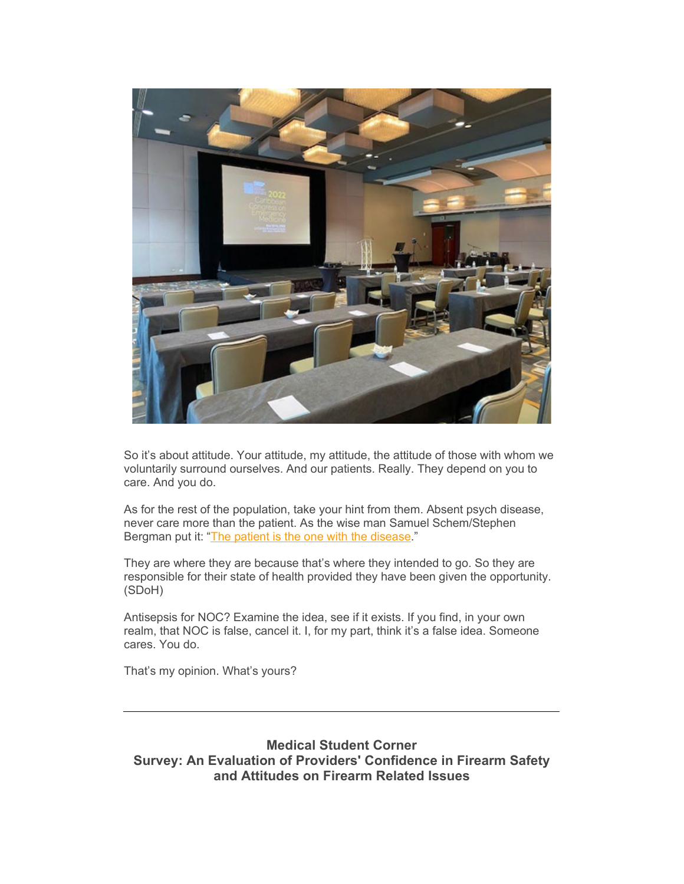

So it's about attitude. Your attitude, my attitude, the attitude of those with whom we voluntarily surround ourselves. And our patients. Really. They depend on you to care. And you do.

As for the rest of the population, take your hint from them. Absent psych disease, never care more than the patient. As the wise man Samuel Schem/Stephen Bergman put it: ["The patient is the one with the disease.](https://elink.clickdimensions.com/c/7/eyJhaSI6NjEzMDk3MDgsImUiOiJlY29yZG92YUBhY2VwLm9yZyIsInJpIjoiY29udGFjdC1iZjJkYjBjOTMxZGNlYzExYTlkMGM3MGI1MWJiYTNhYi03M2VhYjdmNzNkZWI0ZThhYWZiYzI2YzAyYzhjOTdmNSIsInJxIjoiMDItYjIyMTY1LTZkYTE0NDk3YTMxMzRhYTI5ZWIyNTk3NTZkNTBiMjA4IiwicGgiOm51bGwsIm0iOmZhbHNlLCJ1aSI6IjYiLCJ1biI6IiIsInUiOiJodHRwczovL2VuLndpa2lwZWRpYS5vcmcvd2lraS9UaGVfSG91c2Vfb2ZfR29kP19jbGRlZT1UTGpYVGV5NWhwd0c0QkI4YW9ENWtOMFlGamFpNm0yYXJIbDNJOVpVMV83NGtSWmw5WnpZb1ExbzZnZEFpN3FWJnJlY2lwaWVudGlkPWNvbnRhY3QtYmYyZGIwYzkzMWRjZWMxMWE5ZDBjNzBiNTFiYmEzYWItNzNlYWI3ZjczZGViNGU4YWFmYmMyNmMwMmM4Yzk3ZjUmZXNpZD0yZDA5ODExNS0yMWVjLWVjMTEtYTlkMC1jNzBiNTFiYmEzYWIifQ/f9bwTU1-bLhw_yFSsUWGug)"

They are where they are because that's where they intended to go. So they are responsible for their state of health provided they have been given the opportunity. (SDoH)

Antisepsis for NOC? Examine the idea, see if it exists. If you find, in your own realm, that NOC is false, cancel it. I, for my part, think it's a false idea. Someone cares. You do.

That's my opinion. What's yours?

<span id="page-3-0"></span>**Medical Student Corner Survey: An Evaluation of Providers' Confidence in Firearm Safety and Attitudes on Firearm Related Issues**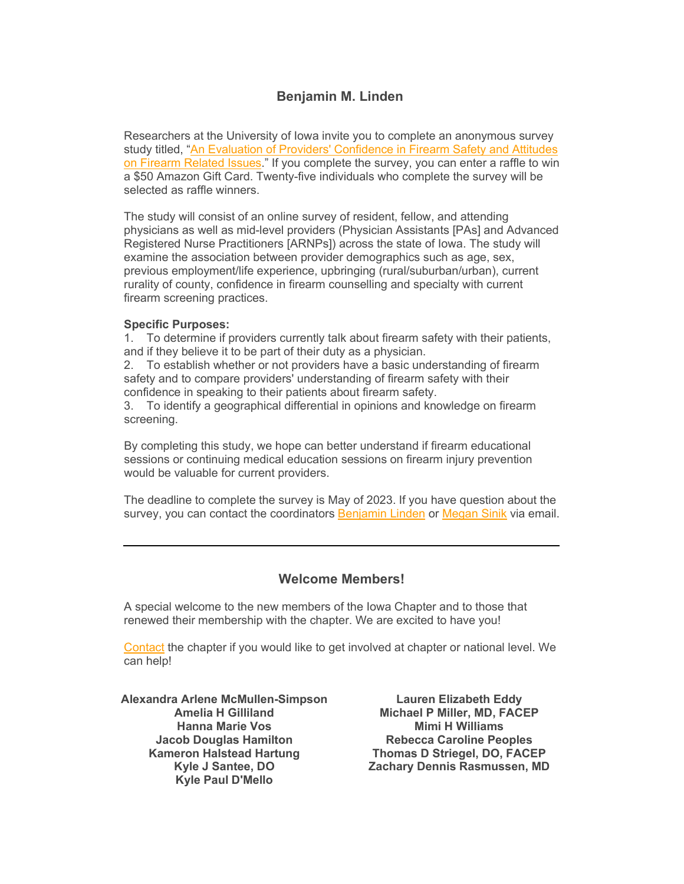# **Benjamin M. Linden**

Researchers at the University of Iowa invite you to complete an anonymous survey study titled, ["An Evaluation of Providers' Confidence in Firearm Safety and Attitudes](https://elink.clickdimensions.com/c/7/eyJhaSI6NjEzMDk3MDgsImUiOiJlY29yZG92YUBhY2VwLm9yZyIsInJpIjoiY29udGFjdC1iZjJkYjBjOTMxZGNlYzExYTlkMGM3MGI1MWJiYTNhYi03M2VhYjdmNzNkZWI0ZThhYWZiYzI2YzAyYzhjOTdmNSIsInJxIjoiMDItYjIyMTY1LTZkYTE0NDk3YTMxMzRhYTI5ZWIyNTk3NTZkNTBiMjA4IiwicGgiOm51bGwsIm0iOmZhbHNlLCJ1aSI6IjciLCJ1biI6Ik1lZGljYWwiLCJ1IjoiaHR0cHM6Ly91aW93YS5xdWFsdHJpY3MuY29tL2pmZS9mb3JtL1NWXzI0Y0xtZzBRRW9maVBvYT9fY2xkZWU9VExqWFRleTVocHdHNEJCOGFvRDVrTjBZRmphaTZtMmFySGwzSTlaVTFfNzRrUlpsOVp6WW9RMW82Z2RBaTdxViZyZWNpcGllbnRpZD1jb250YWN0LWJmMmRiMGM5MzFkY2VjMTFhOWQwYzcwYjUxYmJhM2FiLTczZWFiN2Y3M2RlYjRlOGFhZmJjMjZjMDJjOGM5N2Y1JmVzaWQ9MmQwOTgxMTUtMjFlYy1lYzExLWE5ZDAtYzcwYjUxYmJhM2FiIn0/uDcYYUVVdq28Wqg2X2HGjw)  [on Firearm Related Issues.](https://elink.clickdimensions.com/c/7/eyJhaSI6NjEzMDk3MDgsImUiOiJlY29yZG92YUBhY2VwLm9yZyIsInJpIjoiY29udGFjdC1iZjJkYjBjOTMxZGNlYzExYTlkMGM3MGI1MWJiYTNhYi03M2VhYjdmNzNkZWI0ZThhYWZiYzI2YzAyYzhjOTdmNSIsInJxIjoiMDItYjIyMTY1LTZkYTE0NDk3YTMxMzRhYTI5ZWIyNTk3NTZkNTBiMjA4IiwicGgiOm51bGwsIm0iOmZhbHNlLCJ1aSI6IjciLCJ1biI6Ik1lZGljYWwiLCJ1IjoiaHR0cHM6Ly91aW93YS5xdWFsdHJpY3MuY29tL2pmZS9mb3JtL1NWXzI0Y0xtZzBRRW9maVBvYT9fY2xkZWU9VExqWFRleTVocHdHNEJCOGFvRDVrTjBZRmphaTZtMmFySGwzSTlaVTFfNzRrUlpsOVp6WW9RMW82Z2RBaTdxViZyZWNpcGllbnRpZD1jb250YWN0LWJmMmRiMGM5MzFkY2VjMTFhOWQwYzcwYjUxYmJhM2FiLTczZWFiN2Y3M2RlYjRlOGFhZmJjMjZjMDJjOGM5N2Y1JmVzaWQ9MmQwOTgxMTUtMjFlYy1lYzExLWE5ZDAtYzcwYjUxYmJhM2FiIn0/uDcYYUVVdq28Wqg2X2HGjw)" If you complete the survey, you can enter a raffle to win a \$50 Amazon Gift Card. Twenty-five individuals who complete the survey will be selected as raffle winners.

The study will consist of an online survey of resident, fellow, and attending physicians as well as mid-level providers (Physician Assistants [PAs] and Advanced Registered Nurse Practitioners [ARNPs]) across the state of Iowa. The study will examine the association between provider demographics such as age, sex, previous employment/life experience, upbringing (rural/suburban/urban), current rurality of county, confidence in firearm counselling and specialty with current firearm screening practices.

#### **Specific Purposes:**

1. To determine if providers currently talk about firearm safety with their patients, and if they believe it to be part of their duty as a physician.

2. To establish whether or not providers have a basic understanding of firearm safety and to compare providers' understanding of firearm safety with their confidence in speaking to their patients about firearm safety.

3. To identify a geographical differential in opinions and knowledge on firearm screening.

By completing this study, we hope can better understand if firearm educational sessions or continuing medical education sessions on firearm injury prevention would be valuable for current providers.

The deadline to complete the survey is May of 2023. If you have question about the survey, you can contact the coordinators [Benjamin Linden](https://elink.clickdimensions.com/c/7/eyJhaSI6NjEzMDk3MDgsImUiOiJlY29yZG92YUBhY2VwLm9yZyIsInJpIjoiY29udGFjdC1iZjJkYjBjOTMxZGNlYzExYTlkMGM3MGI1MWJiYTNhYi03M2VhYjdmNzNkZWI0ZThhYWZiYzI2YzAyYzhjOTdmNSIsInJxIjoiMDItYjIyMTY1LTZkYTE0NDk3YTMxMzRhYTI5ZWIyNTk3NTZkNTBiMjA4IiwicGgiOm51bGwsIm0iOmZhbHNlLCJ1aSI6IjgiLCJ1biI6IiIsInUiOiJCZW5qYW1pbi1saW5kZW5AdWlvd2EuZWR1P19jbGRlZT1UTGpYVGV5NWhwd0c0QkI4YW9ENWtOMFlGamFpNm0yYXJIbDNJOVpVMV83NGtSWmw5WnpZb1ExbzZnZEFpN3FWJnJlY2lwaWVudGlkPWNvbnRhY3QtYmYyZGIwYzkzMWRjZWMxMWE5ZDBjNzBiNTFiYmEzYWItNzNlYWI3ZjczZGViNGU4YWFmYmMyNmMwMmM4Yzk3ZjUmZXNpZD0yZDA5ODExNS0yMWVjLWVjMTEtYTlkMC1jNzBiNTFiYmEzYWIifQ/-vkjHhblzUc4i9de3kaDMw) or [Megan Sinik](mailto:megan-sinik@uiowa.edu) via email.

# <span id="page-4-0"></span>**Welcome Members!**

A special welcome to the new members of the Iowa Chapter and to those that renewed their membership with the chapter. We are excited to have you!

[Contact](mailto:ia.chapter@acep.org) the chapter if you would like to get involved at chapter or national level. We can help!

**Alexandra Arlene McMullen-Simpson Amelia H Gilliland Hanna Marie Vos Jacob Douglas Hamilton Kameron Halstead Hartung Kyle J Santee, DO Kyle Paul D'Mello**

**Lauren Elizabeth Eddy Michael P Miller, MD, FACEP Mimi H Williams Rebecca Caroline Peoples Thomas D Striegel, DO, FACEP Zachary Dennis Rasmussen, MD**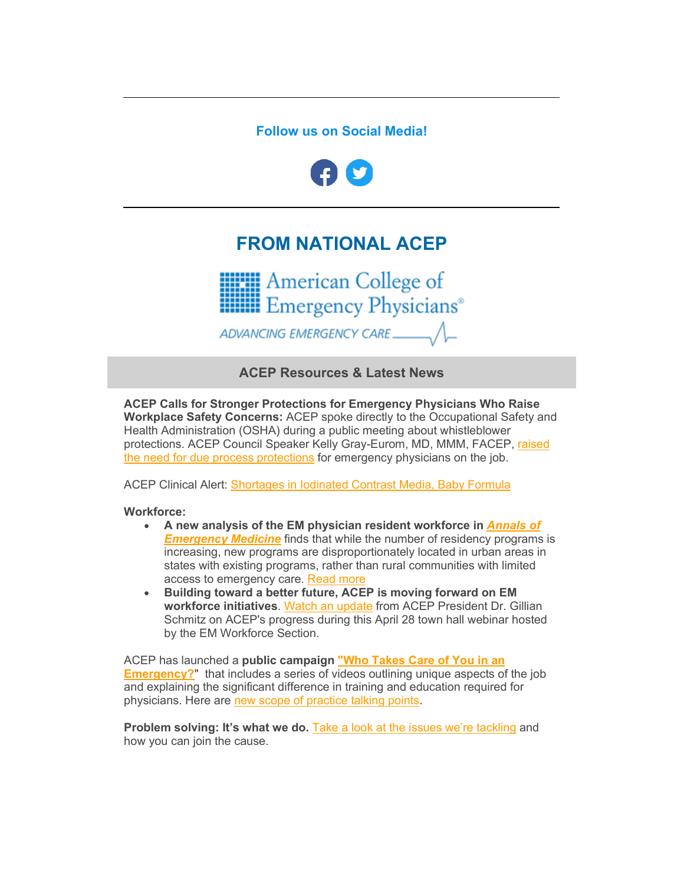# **Follow us on Social Media!**

<span id="page-5-0"></span>

# **FROM NATIONAL ACEP**

**HIM** American College of **Hillis** Emergency Physicians<sup>®</sup>

ADVANCING EMERGENCY CARE

**ACEP Resources & Latest News**

**ACEP Calls for Stronger Protections for Emergency Physicians Who Raise Workplace Safety Concerns:** ACEP spoke directly to the Occupational Safety and Health Administration (OSHA) during a public meeting about whistleblower protections. ACEP Council Speaker Kelly Gray-Eurom, MD, MMM, FACEP, [raised](https://elink.clickdimensions.com/c/7/eyJhaSI6NjEzMDk3MDgsImUiOiJlY29yZG92YUBhY2VwLm9yZyIsInJpIjoiY29udGFjdC1iZjJkYjBjOTMxZGNlYzExYTlkMGM3MGI1MWJiYTNhYi03M2VhYjdmNzNkZWI0ZThhYWZiYzI2YzAyYzhjOTdmNSIsInJxIjoiMDItYjIyMTY1LTZkYTE0NDk3YTMxMzRhYTI5ZWIyNTk3NTZkNTBiMjA4IiwicGgiOm51bGwsIm0iOmZhbHNlLCJ1aSI6IjE1IiwidW4iOiIiLCJ1IjoiaHR0cHM6Ly93d3cuYWNlcC5vcmcvaG9tZS1wYWdlLXJlZGlyZWN0cy9sYXRlc3QtbmV3cy9hY2VwLWNhbGxzLWZvci1zdHJvbmdlci1wcm90ZWN0aW9ucy1mb3ItZW1lcmdlbmN5LXBoeXNpY2lhbnMtd2hvLXJhaXNlLXdvcmtwbGFjZS1zYWZldHktY29uY2VybnMvP19jbGRlZT1UTGpYVGV5NWhwd0c0QkI4YW9ENWtOMFlGamFpNm0yYXJIbDNJOVpVMV83NGtSWmw5WnpZb1ExbzZnZEFpN3FWJnJlY2lwaWVudGlkPWNvbnRhY3QtYmYyZGIwYzkzMWRjZWMxMWE5ZDBjNzBiNTFiYmEzYWItNzNlYWI3ZjczZGViNGU4YWFmYmMyNmMwMmM4Yzk3ZjUmZXNpZD0yZDA5ODExNS0yMWVjLWVjMTEtYTlkMC1jNzBiNTFiYmEzYWIifQ/4w-mW7y8bOOpiXVS8eJgqA)  [the need for due process protections](https://elink.clickdimensions.com/c/7/eyJhaSI6NjEzMDk3MDgsImUiOiJlY29yZG92YUBhY2VwLm9yZyIsInJpIjoiY29udGFjdC1iZjJkYjBjOTMxZGNlYzExYTlkMGM3MGI1MWJiYTNhYi03M2VhYjdmNzNkZWI0ZThhYWZiYzI2YzAyYzhjOTdmNSIsInJxIjoiMDItYjIyMTY1LTZkYTE0NDk3YTMxMzRhYTI5ZWIyNTk3NTZkNTBiMjA4IiwicGgiOm51bGwsIm0iOmZhbHNlLCJ1aSI6IjE1IiwidW4iOiIiLCJ1IjoiaHR0cHM6Ly93d3cuYWNlcC5vcmcvaG9tZS1wYWdlLXJlZGlyZWN0cy9sYXRlc3QtbmV3cy9hY2VwLWNhbGxzLWZvci1zdHJvbmdlci1wcm90ZWN0aW9ucy1mb3ItZW1lcmdlbmN5LXBoeXNpY2lhbnMtd2hvLXJhaXNlLXdvcmtwbGFjZS1zYWZldHktY29uY2VybnMvP19jbGRlZT1UTGpYVGV5NWhwd0c0QkI4YW9ENWtOMFlGamFpNm0yYXJIbDNJOVpVMV83NGtSWmw5WnpZb1ExbzZnZEFpN3FWJnJlY2lwaWVudGlkPWNvbnRhY3QtYmYyZGIwYzkzMWRjZWMxMWE5ZDBjNzBiNTFiYmEzYWItNzNlYWI3ZjczZGViNGU4YWFmYmMyNmMwMmM4Yzk3ZjUmZXNpZD0yZDA5ODExNS0yMWVjLWVjMTEtYTlkMC1jNzBiNTFiYmEzYWIifQ/4w-mW7y8bOOpiXVS8eJgqA) for emergency physicians on the job.

ACEP Clinical Alert: [Shortages in Iodinated Contrast Media, Baby Formula](https://elink.clickdimensions.com/c/7/eyJhaSI6NjEzMDk3MDgsImUiOiJlY29yZG92YUBhY2VwLm9yZyIsInJpIjoiY29udGFjdC1iZjJkYjBjOTMxZGNlYzExYTlkMGM3MGI1MWJiYTNhYi03M2VhYjdmNzNkZWI0ZThhYWZiYzI2YzAyYzhjOTdmNSIsInJxIjoiMDItYjIyMTY1LTZkYTE0NDk3YTMxMzRhYTI5ZWIyNTk3NTZkNTBiMjA4IiwicGgiOm51bGwsIm0iOmZhbHNlLCJ1aSI6IjE2IiwidW4iOiIiLCJ1IjoiaHR0cHM6Ly93d3cuYWNlcC5vcmcvaG9tZS1wYWdlLXJlZGlyZWN0cy9sYXRlc3QtbmV3cy9jbGluaWNhbC1hbGVydC1zaG9ydGFnZXMtaW4taW9kaW5hdGVkLWNvbnRyYXN0LW1lZGlhLWJhYnktZm9ybXVsYS8_X2NsZGVlPVRMalhUZXk1aHB3RzRCQjhhb0Q1a04wWUZqYWk2bTJhckhsM0k5WlUxXzc0a1JabDlaellvUTFvNmdkQWk3cVYmcmVjaXBpZW50aWQ9Y29udGFjdC1iZjJkYjBjOTMxZGNlYzExYTlkMGM3MGI1MWJiYTNhYi03M2VhYjdmNzNkZWI0ZThhYWZiYzI2YzAyYzhjOTdmNSZlc2lkPTJkMDk4MTE1LTIxZWMtZWMxMS1hOWQwLWM3MGI1MWJiYTNhYiJ9/5B1fCdNmac5_jciAeDRhWg)

## **Workforce:**

- **A new analysis of the EM physician resident workforce in** *[Annals of](https://elink.clickdimensions.com/c/7/eyJhaSI6NjEzMDk3MDgsImUiOiJlY29yZG92YUBhY2VwLm9yZyIsInJpIjoiY29udGFjdC1iZjJkYjBjOTMxZGNlYzExYTlkMGM3MGI1MWJiYTNhYi03M2VhYjdmNzNkZWI0ZThhYWZiYzI2YzAyYzhjOTdmNSIsInJxIjoiMDItYjIyMTY1LTZkYTE0NDk3YTMxMzRhYTI5ZWIyNTk3NTZkNTBiMjA4IiwicGgiOm51bGwsIm0iOmZhbHNlLCJ1aSI6IjE3IiwidW4iOiIiLCJ1IjoiaHR0cHM6Ly93d3cuYW5uZW1lcmdtZWQuY29tL2FydGljbGUvUzAxOTYtMDY0NCgyMikwMDE4Ni1YL2Z1bGx0ZXh0P19jbGRlZT1UTGpYVGV5NWhwd0c0QkI4YW9ENWtOMFlGamFpNm0yYXJIbDNJOVpVMV83NGtSWmw5WnpZb1ExbzZnZEFpN3FWJnJlY2lwaWVudGlkPWNvbnRhY3QtYmYyZGIwYzkzMWRjZWMxMWE5ZDBjNzBiNTFiYmEzYWItNzNlYWI3ZjczZGViNGU4YWFmYmMyNmMwMmM4Yzk3ZjUmZXNpZD0yZDA5ODExNS0yMWVjLWVjMTEtYTlkMC1jNzBiNTFiYmEzYWIifQ/ruzfKCigj--V2UGhKfy1EA)  [Emergency Medicine](https://elink.clickdimensions.com/c/7/eyJhaSI6NjEzMDk3MDgsImUiOiJlY29yZG92YUBhY2VwLm9yZyIsInJpIjoiY29udGFjdC1iZjJkYjBjOTMxZGNlYzExYTlkMGM3MGI1MWJiYTNhYi03M2VhYjdmNzNkZWI0ZThhYWZiYzI2YzAyYzhjOTdmNSIsInJxIjoiMDItYjIyMTY1LTZkYTE0NDk3YTMxMzRhYTI5ZWIyNTk3NTZkNTBiMjA4IiwicGgiOm51bGwsIm0iOmZhbHNlLCJ1aSI6IjE3IiwidW4iOiIiLCJ1IjoiaHR0cHM6Ly93d3cuYW5uZW1lcmdtZWQuY29tL2FydGljbGUvUzAxOTYtMDY0NCgyMikwMDE4Ni1YL2Z1bGx0ZXh0P19jbGRlZT1UTGpYVGV5NWhwd0c0QkI4YW9ENWtOMFlGamFpNm0yYXJIbDNJOVpVMV83NGtSWmw5WnpZb1ExbzZnZEFpN3FWJnJlY2lwaWVudGlkPWNvbnRhY3QtYmYyZGIwYzkzMWRjZWMxMWE5ZDBjNzBiNTFiYmEzYWItNzNlYWI3ZjczZGViNGU4YWFmYmMyNmMwMmM4Yzk3ZjUmZXNpZD0yZDA5ODExNS0yMWVjLWVjMTEtYTlkMC1jNzBiNTFiYmEzYWIifQ/ruzfKCigj--V2UGhKfy1EA)* finds that while the number of residency programs is increasing, new programs are disproportionately located in urban areas in states with existing programs, rather than rural communities with limited access to emergency care. [Read more](https://elink.clickdimensions.com/c/7/eyJhaSI6NjEzMDk3MDgsImUiOiJlY29yZG92YUBhY2VwLm9yZyIsInJpIjoiY29udGFjdC1iZjJkYjBjOTMxZGNlYzExYTlkMGM3MGI1MWJiYTNhYi03M2VhYjdmNzNkZWI0ZThhYWZiYzI2YzAyYzhjOTdmNSIsInJxIjoiMDItYjIyMTY1LTZkYTE0NDk3YTMxMzRhYTI5ZWIyNTk3NTZkNTBiMjA4IiwicGgiOm51bGwsIm0iOmZhbHNlLCJ1aSI6IjE4IiwidW4iOiIiLCJ1IjoiaHR0cHM6Ly93d3cuZW1lcmdlbmN5cGh5c2ljaWFucy5vcmcvcHJlc3MtcmVsZWFzZXMvMjAyMi81LTEyLTIyLXVuZXZlbi1kaXN0cmlidXRpb24tb2YtZW1lcmdlbmN5LXBoeXNpY2lhbi1yZXNpZGVuY3ktcHJvZ3JhbXMtY2FuLWltcGFjdC13b3JrZm9yY2UtY2hhbGxlbmdlcy1uZXctYW5hbHlzaXMtZmluZHM_X2NsZGVlPVRMalhUZXk1aHB3RzRCQjhhb0Q1a04wWUZqYWk2bTJhckhsM0k5WlUxXzc0a1JabDlaellvUTFvNmdkQWk3cVYmcmVjaXBpZW50aWQ9Y29udGFjdC1iZjJkYjBjOTMxZGNlYzExYTlkMGM3MGI1MWJiYTNhYi03M2VhYjdmNzNkZWI0ZThhYWZiYzI2YzAyYzhjOTdmNSZlc2lkPTJkMDk4MTE1LTIxZWMtZWMxMS1hOWQwLWM3MGI1MWJiYTNhYiJ9/j8A5Tj2Bwnfo-aDxgVfbJg)
- **Building toward a better future, ACEP is moving forward on EM workforce initiatives**. [Watch an update](https://elink.clickdimensions.com/c/7/eyJhaSI6NjEzMDk3MDgsImUiOiJlY29yZG92YUBhY2VwLm9yZyIsInJpIjoiY29udGFjdC1iZjJkYjBjOTMxZGNlYzExYTlkMGM3MGI1MWJiYTNhYi03M2VhYjdmNzNkZWI0ZThhYWZiYzI2YzAyYzhjOTdmNSIsInJxIjoiMDItYjIyMTY1LTZkYTE0NDk3YTMxMzRhYTI5ZWIyNTk3NTZkNTBiMjA4IiwicGgiOm51bGwsIm0iOmZhbHNlLCJ1aSI6IjE5IiwidW4iOiIiLCJ1IjoiaHR0cHM6Ly93d3cuYWNlcC5vcmcvbGlmZS1hcy1hLXBoeXNpY2lhbi93b3JrZm9yY2Uvd29ya2ZvcmNlLXZpZGVvcy93b3JrZm9yY2UtbWludXRlLXZpZGVvcy9lbS13b3JrZm9yY2Utc2VjdGlvbi10b3duLWhhbGwtLS1hcHJpbC0zMC0yMDIyLz9fY2xkZWU9VExqWFRleTVocHdHNEJCOGFvRDVrTjBZRmphaTZtMmFySGwzSTlaVTFfNzRrUlpsOVp6WW9RMW82Z2RBaTdxViZyZWNpcGllbnRpZD1jb250YWN0LWJmMmRiMGM5MzFkY2VjMTFhOWQwYzcwYjUxYmJhM2FiLTczZWFiN2Y3M2RlYjRlOGFhZmJjMjZjMDJjOGM5N2Y1JmVzaWQ9MmQwOTgxMTUtMjFlYy1lYzExLWE5ZDAtYzcwYjUxYmJhM2FiIn0/BUXHCOlMN3e2yCXkt5yyNw) from ACEP President Dr. Gillian Schmitz on ACEP's progress during this April 28 town hall webinar hosted by the EM Workforce Section.

ACEP has launched a **public campaign ["Who Takes Care of You in an](https://elink.clickdimensions.com/c/7/eyJhaSI6NjEzMDk3MDgsImUiOiJlY29yZG92YUBhY2VwLm9yZyIsInJpIjoiY29udGFjdC1iZjJkYjBjOTMxZGNlYzExYTlkMGM3MGI1MWJiYTNhYi03M2VhYjdmNzNkZWI0ZThhYWZiYzI2YzAyYzhjOTdmNSIsInJxIjoiMDItYjIyMTY1LTZkYTE0NDk3YTMxMzRhYTI5ZWIyNTk3NTZkNTBiMjA4IiwicGgiOm51bGwsIm0iOmZhbHNlLCJ1aSI6IjIwIiwidW4iOiIiLCJ1IjoiaHR0cHM6Ly93d3cuZW1lcmdlbmN5cGh5c2ljaWFucy5vcmcvYXJ0aWNsZS9lcjEwMS93aG8tdGFrZXMtY2FyZS1vZi15b3UtaW4tYW4tZW1lcmdlbmN5P19jbGRlZT1UTGpYVGV5NWhwd0c0QkI4YW9ENWtOMFlGamFpNm0yYXJIbDNJOVpVMV83NGtSWmw5WnpZb1ExbzZnZEFpN3FWJnJlY2lwaWVudGlkPWNvbnRhY3QtYmYyZGIwYzkzMWRjZWMxMWE5ZDBjNzBiNTFiYmEzYWItNzNlYWI3ZjczZGViNGU4YWFmYmMyNmMwMmM4Yzk3ZjUmZXNpZD0yZDA5ODExNS0yMWVjLWVjMTEtYTlkMC1jNzBiNTFiYmEzYWIifQ/_uY_wsUsoh0FSpG2m_ACGw)  [Emergency?](https://elink.clickdimensions.com/c/7/eyJhaSI6NjEzMDk3MDgsImUiOiJlY29yZG92YUBhY2VwLm9yZyIsInJpIjoiY29udGFjdC1iZjJkYjBjOTMxZGNlYzExYTlkMGM3MGI1MWJiYTNhYi03M2VhYjdmNzNkZWI0ZThhYWZiYzI2YzAyYzhjOTdmNSIsInJxIjoiMDItYjIyMTY1LTZkYTE0NDk3YTMxMzRhYTI5ZWIyNTk3NTZkNTBiMjA4IiwicGgiOm51bGwsIm0iOmZhbHNlLCJ1aSI6IjIwIiwidW4iOiIiLCJ1IjoiaHR0cHM6Ly93d3cuZW1lcmdlbmN5cGh5c2ljaWFucy5vcmcvYXJ0aWNsZS9lcjEwMS93aG8tdGFrZXMtY2FyZS1vZi15b3UtaW4tYW4tZW1lcmdlbmN5P19jbGRlZT1UTGpYVGV5NWhwd0c0QkI4YW9ENWtOMFlGamFpNm0yYXJIbDNJOVpVMV83NGtSWmw5WnpZb1ExbzZnZEFpN3FWJnJlY2lwaWVudGlkPWNvbnRhY3QtYmYyZGIwYzkzMWRjZWMxMWE5ZDBjNzBiNTFiYmEzYWItNzNlYWI3ZjczZGViNGU4YWFmYmMyNmMwMmM4Yzk3ZjUmZXNpZD0yZDA5ODExNS0yMWVjLWVjMTEtYTlkMC1jNzBiNTFiYmEzYWIifQ/_uY_wsUsoh0FSpG2m_ACGw)"** that includes a series of videos outlining unique aspects of the job and explaining the significant difference in training and education required for physicians. Here are [new scope of practice talking points.](https://elink.clickdimensions.com/c/7/eyJhaSI6NjEzMDk3MDgsImUiOiJlY29yZG92YUBhY2VwLm9yZyIsInJpIjoiY29udGFjdC1iZjJkYjBjOTMxZGNlYzExYTlkMGM3MGI1MWJiYTNhYi03M2VhYjdmNzNkZWI0ZThhYWZiYzI2YzAyYzhjOTdmNSIsInJxIjoiMDItYjIyMTY1LTZkYTE0NDk3YTMxMzRhYTI5ZWIyNTk3NTZkNTBiMjA4IiwicGgiOm51bGwsIm0iOmZhbHNlLCJ1aSI6IjIxIiwidW4iOiIiLCJ1IjoiaHR0cHM6Ly93d3cuYWNlcC5vcmcvYWNlcC1tZWRpYS1odWIvbWVkaWEtaHViLWFydGljbGVzL21hcmNoLTIwMjIvc2NvcGUtb2YtcHJhY3RpY2UtdGFsa2luZy1wb2ludHMvP19jbGRlZT1UTGpYVGV5NWhwd0c0QkI4YW9ENWtOMFlGamFpNm0yYXJIbDNJOVpVMV83NGtSWmw5WnpZb1ExbzZnZEFpN3FWJnJlY2lwaWVudGlkPWNvbnRhY3QtYmYyZGIwYzkzMWRjZWMxMWE5ZDBjNzBiNTFiYmEzYWItNzNlYWI3ZjczZGViNGU4YWFmYmMyNmMwMmM4Yzk3ZjUmZXNpZD0yZDA5ODExNS0yMWVjLWVjMTEtYTlkMC1jNzBiNTFiYmEzYWIifQ/PGzFyeFPC37uGJiu9HE4lw)

**Problem solving: It's what we do.** [Take a look at the issues we're tackling](https://elink.clickdimensions.com/c/7/eyJhaSI6NjEzMDk3MDgsImUiOiJlY29yZG92YUBhY2VwLm9yZyIsInJpIjoiY29udGFjdC1iZjJkYjBjOTMxZGNlYzExYTlkMGM3MGI1MWJiYTNhYi03M2VhYjdmNzNkZWI0ZThhYWZiYzI2YzAyYzhjOTdmNSIsInJxIjoiMDItYjIyMTY1LTZkYTE0NDk3YTMxMzRhYTI5ZWIyNTk3NTZkNTBiMjA4IiwicGgiOm51bGwsIm0iOmZhbHNlLCJ1aSI6IjIyIiwidW4iOiIiLCJ1IjoiaHR0cHM6Ly93d3cuYWNlcC5vcmcvd2hvLXdlLWFyZS9wdWxsaW5nLXRvZ2V0aGVyLTIwMjEtYW5udWFsLXJlcG9ydC8_X2NsZGVlPVRMalhUZXk1aHB3RzRCQjhhb0Q1a04wWUZqYWk2bTJhckhsM0k5WlUxXzc0a1JabDlaellvUTFvNmdkQWk3cVYmcmVjaXBpZW50aWQ9Y29udGFjdC1iZjJkYjBjOTMxZGNlYzExYTlkMGM3MGI1MWJiYTNhYi03M2VhYjdmNzNkZWI0ZThhYWZiYzI2YzAyYzhjOTdmNSZlc2lkPTJkMDk4MTE1LTIxZWMtZWMxMS1hOWQwLWM3MGI1MWJiYTNhYiJ9/6IoHUyRZj5_qPpdJq2yHCw) and how you can join the cause.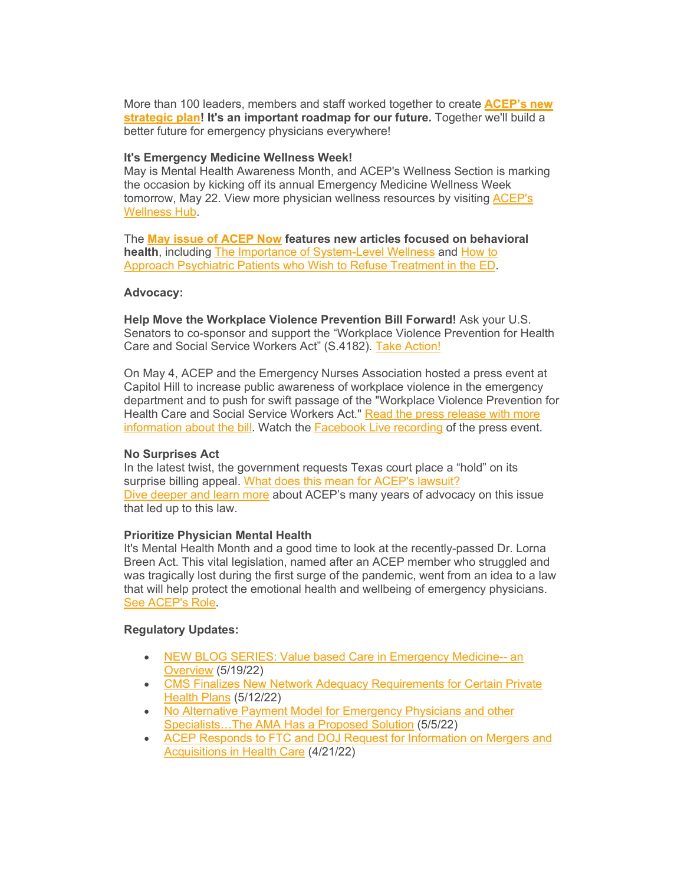More than 100 leaders, members and staff worked together to create **[ACEP's new](https://elink.clickdimensions.com/c/7/eyJhaSI6NjEzMDk3MDgsImUiOiJlY29yZG92YUBhY2VwLm9yZyIsInJpIjoiY29udGFjdC1iZjJkYjBjOTMxZGNlYzExYTlkMGM3MGI1MWJiYTNhYi03M2VhYjdmNzNkZWI0ZThhYWZiYzI2YzAyYzhjOTdmNSIsInJxIjoiMDItYjIyMTY1LTZkYTE0NDk3YTMxMzRhYTI5ZWIyNTk3NTZkNTBiMjA4IiwicGgiOm51bGwsIm0iOmZhbHNlLCJ1aSI6IjIzIiwidW4iOiIiLCJ1IjoiaHR0cHM6Ly93d3cuYWNlcC5vcmcvc3RyYXRlZ2ljcGxhbi8_X2NsZGVlPVRMalhUZXk1aHB3RzRCQjhhb0Q1a04wWUZqYWk2bTJhckhsM0k5WlUxXzc0a1JabDlaellvUTFvNmdkQWk3cVYmcmVjaXBpZW50aWQ9Y29udGFjdC1iZjJkYjBjOTMxZGNlYzExYTlkMGM3MGI1MWJiYTNhYi03M2VhYjdmNzNkZWI0ZThhYWZiYzI2YzAyYzhjOTdmNSZlc2lkPTJkMDk4MTE1LTIxZWMtZWMxMS1hOWQwLWM3MGI1MWJiYTNhYiJ9/X6PZF4Oh3hMCccZFlA25MA)  [strategic plan!](https://elink.clickdimensions.com/c/7/eyJhaSI6NjEzMDk3MDgsImUiOiJlY29yZG92YUBhY2VwLm9yZyIsInJpIjoiY29udGFjdC1iZjJkYjBjOTMxZGNlYzExYTlkMGM3MGI1MWJiYTNhYi03M2VhYjdmNzNkZWI0ZThhYWZiYzI2YzAyYzhjOTdmNSIsInJxIjoiMDItYjIyMTY1LTZkYTE0NDk3YTMxMzRhYTI5ZWIyNTk3NTZkNTBiMjA4IiwicGgiOm51bGwsIm0iOmZhbHNlLCJ1aSI6IjIzIiwidW4iOiIiLCJ1IjoiaHR0cHM6Ly93d3cuYWNlcC5vcmcvc3RyYXRlZ2ljcGxhbi8_X2NsZGVlPVRMalhUZXk1aHB3RzRCQjhhb0Q1a04wWUZqYWk2bTJhckhsM0k5WlUxXzc0a1JabDlaellvUTFvNmdkQWk3cVYmcmVjaXBpZW50aWQ9Y29udGFjdC1iZjJkYjBjOTMxZGNlYzExYTlkMGM3MGI1MWJiYTNhYi03M2VhYjdmNzNkZWI0ZThhYWZiYzI2YzAyYzhjOTdmNSZlc2lkPTJkMDk4MTE1LTIxZWMtZWMxMS1hOWQwLWM3MGI1MWJiYTNhYiJ9/X6PZF4Oh3hMCccZFlA25MA) It's an important roadmap for our future.** Together we'll build a better future for emergency physicians everywhere!

#### **It's Emergency Medicine Wellness Week!**

May is Mental Health Awareness Month, and ACEP's Wellness Section is marking the occasion by kicking off its annual Emergency Medicine Wellness Week tomorrow, May 22. View more physician wellness resources by visiting [ACEP's](https://elink.clickdimensions.com/c/7/eyJhaSI6NjEzMDk3MDgsImUiOiJlY29yZG92YUBhY2VwLm9yZyIsInJpIjoiY29udGFjdC1iZjJkYjBjOTMxZGNlYzExYTlkMGM3MGI1MWJiYTNhYi03M2VhYjdmNzNkZWI0ZThhYWZiYzI2YzAyYzhjOTdmNSIsInJxIjoiMDItYjIyMTY1LTZkYTE0NDk3YTMxMzRhYTI5ZWIyNTk3NTZkNTBiMjA4IiwicGgiOm51bGwsIm0iOmZhbHNlLCJ1aSI6IjI0IiwidW4iOiIiLCJ1IjoiaHR0cHM6Ly93d3cuYWNlcC5vcmcvd2VsbG5lc3MvP19jbGRlZT1UTGpYVGV5NWhwd0c0QkI4YW9ENWtOMFlGamFpNm0yYXJIbDNJOVpVMV83NGtSWmw5WnpZb1ExbzZnZEFpN3FWJnJlY2lwaWVudGlkPWNvbnRhY3QtYmYyZGIwYzkzMWRjZWMxMWE5ZDBjNzBiNTFiYmEzYWItNzNlYWI3ZjczZGViNGU4YWFmYmMyNmMwMmM4Yzk3ZjUmZXNpZD0yZDA5ODExNS0yMWVjLWVjMTEtYTlkMC1jNzBiNTFiYmEzYWIifQ/ZJCP1GeMwPR21HRxIMSOVQ)  [Wellness](https://elink.clickdimensions.com/c/7/eyJhaSI6NjEzMDk3MDgsImUiOiJlY29yZG92YUBhY2VwLm9yZyIsInJpIjoiY29udGFjdC1iZjJkYjBjOTMxZGNlYzExYTlkMGM3MGI1MWJiYTNhYi03M2VhYjdmNzNkZWI0ZThhYWZiYzI2YzAyYzhjOTdmNSIsInJxIjoiMDItYjIyMTY1LTZkYTE0NDk3YTMxMzRhYTI5ZWIyNTk3NTZkNTBiMjA4IiwicGgiOm51bGwsIm0iOmZhbHNlLCJ1aSI6IjI0IiwidW4iOiIiLCJ1IjoiaHR0cHM6Ly93d3cuYWNlcC5vcmcvd2VsbG5lc3MvP19jbGRlZT1UTGpYVGV5NWhwd0c0QkI4YW9ENWtOMFlGamFpNm0yYXJIbDNJOVpVMV83NGtSWmw5WnpZb1ExbzZnZEFpN3FWJnJlY2lwaWVudGlkPWNvbnRhY3QtYmYyZGIwYzkzMWRjZWMxMWE5ZDBjNzBiNTFiYmEzYWItNzNlYWI3ZjczZGViNGU4YWFmYmMyNmMwMmM4Yzk3ZjUmZXNpZD0yZDA5ODExNS0yMWVjLWVjMTEtYTlkMC1jNzBiNTFiYmEzYWIifQ/ZJCP1GeMwPR21HRxIMSOVQ) Hub.

The **[May issue of](https://elink.clickdimensions.com/c/7/eyJhaSI6NjEzMDk3MDgsImUiOiJlY29yZG92YUBhY2VwLm9yZyIsInJpIjoiY29udGFjdC1iZjJkYjBjOTMxZGNlYzExYTlkMGM3MGI1MWJiYTNhYi03M2VhYjdmNzNkZWI0ZThhYWZiYzI2YzAyYzhjOTdmNSIsInJxIjoiMDItYjIyMTY1LTZkYTE0NDk3YTMxMzRhYTI5ZWIyNTk3NTZkNTBiMjA4IiwicGgiOm51bGwsIm0iOmZhbHNlLCJ1aSI6IjI1IiwidW4iOiIiLCJ1IjoiaHR0cHM6Ly93d3cuYWNlcG5vdy5jb20vaXNzdWVzLz9pc3N1ZT1hY2VwLW5vdy12b2wtNDEtbm8tMDUtbWF5LTIwMjImX2NsZGVlPVRMalhUZXk1aHB3RzRCQjhhb0Q1a04wWUZqYWk2bTJhckhsM0k5WlUxXzc0a1JabDlaellvUTFvNmdkQWk3cVYmcmVjaXBpZW50aWQ9Y29udGFjdC1iZjJkYjBjOTMxZGNlYzExYTlkMGM3MGI1MWJiYTNhYi03M2VhYjdmNzNkZWI0ZThhYWZiYzI2YzAyYzhjOTdmNSZlc2lkPTJkMDk4MTE1LTIxZWMtZWMxMS1hOWQwLWM3MGI1MWJiYTNhYiJ9/RPgms5H_MNhtuug__u1Myw) ACEP Now features new articles focused on behavioral health**, including [The Importance of System-Level Wellness](https://elink.clickdimensions.com/c/7/eyJhaSI6NjEzMDk3MDgsImUiOiJlY29yZG92YUBhY2VwLm9yZyIsInJpIjoiY29udGFjdC1iZjJkYjBjOTMxZGNlYzExYTlkMGM3MGI1MWJiYTNhYi03M2VhYjdmNzNkZWI0ZThhYWZiYzI2YzAyYzhjOTdmNSIsInJxIjoiMDItYjIyMTY1LTZkYTE0NDk3YTMxMzRhYTI5ZWIyNTk3NTZkNTBiMjA4IiwicGgiOm51bGwsIm0iOmZhbHNlLCJ1aSI6IjI2IiwidW4iOiIiLCJ1IjoiaHR0cHM6Ly93d3cuYWNlcG5vdy5jb20vYXJ0aWNsZS9pbXBvcnRhbmNlLW9mLXN5c3RlbS1sZXZlbC13ZWxsbmVzcy8_X2NsZGVlPVRMalhUZXk1aHB3RzRCQjhhb0Q1a04wWUZqYWk2bTJhckhsM0k5WlUxXzc0a1JabDlaellvUTFvNmdkQWk3cVYmcmVjaXBpZW50aWQ9Y29udGFjdC1iZjJkYjBjOTMxZGNlYzExYTlkMGM3MGI1MWJiYTNhYi03M2VhYjdmNzNkZWI0ZThhYWZiYzI2YzAyYzhjOTdmNSZlc2lkPTJkMDk4MTE1LTIxZWMtZWMxMS1hOWQwLWM3MGI1MWJiYTNhYiJ9/Ps7tu6UStnw3MXDE6YLH2A) and [How to](https://elink.clickdimensions.com/c/7/eyJhaSI6NjEzMDk3MDgsImUiOiJlY29yZG92YUBhY2VwLm9yZyIsInJpIjoiY29udGFjdC1iZjJkYjBjOTMxZGNlYzExYTlkMGM3MGI1MWJiYTNhYi03M2VhYjdmNzNkZWI0ZThhYWZiYzI2YzAyYzhjOTdmNSIsInJxIjoiMDItYjIyMTY1LTZkYTE0NDk3YTMxMzRhYTI5ZWIyNTk3NTZkNTBiMjA4IiwicGgiOm51bGwsIm0iOmZhbHNlLCJ1aSI6IjI3IiwidW4iOiIiLCJ1IjoiaHR0cHM6Ly93d3cuYWNlcG5vdy5jb20vYXJ0aWNsZS9ob3ctY2FuLXRoZXktcmVmdXNlLz9fY2xkZWU9VExqWFRleTVocHdHNEJCOGFvRDVrTjBZRmphaTZtMmFySGwzSTlaVTFfNzRrUlpsOVp6WW9RMW82Z2RBaTdxViZyZWNpcGllbnRpZD1jb250YWN0LWJmMmRiMGM5MzFkY2VjMTFhOWQwYzcwYjUxYmJhM2FiLTczZWFiN2Y3M2RlYjRlOGFhZmJjMjZjMDJjOGM5N2Y1JmVzaWQ9MmQwOTgxMTUtMjFlYy1lYzExLWE5ZDAtYzcwYjUxYmJhM2FiIn0/83SUx_dXR-L_roKLLGhPlQ)  Approach [Psychiatric Patients who Wish to](https://elink.clickdimensions.com/c/7/eyJhaSI6NjEzMDk3MDgsImUiOiJlY29yZG92YUBhY2VwLm9yZyIsInJpIjoiY29udGFjdC1iZjJkYjBjOTMxZGNlYzExYTlkMGM3MGI1MWJiYTNhYi03M2VhYjdmNzNkZWI0ZThhYWZiYzI2YzAyYzhjOTdmNSIsInJxIjoiMDItYjIyMTY1LTZkYTE0NDk3YTMxMzRhYTI5ZWIyNTk3NTZkNTBiMjA4IiwicGgiOm51bGwsIm0iOmZhbHNlLCJ1aSI6IjI3IiwidW4iOiIiLCJ1IjoiaHR0cHM6Ly93d3cuYWNlcG5vdy5jb20vYXJ0aWNsZS9ob3ctY2FuLXRoZXktcmVmdXNlLz9fY2xkZWU9VExqWFRleTVocHdHNEJCOGFvRDVrTjBZRmphaTZtMmFySGwzSTlaVTFfNzRrUlpsOVp6WW9RMW82Z2RBaTdxViZyZWNpcGllbnRpZD1jb250YWN0LWJmMmRiMGM5MzFkY2VjMTFhOWQwYzcwYjUxYmJhM2FiLTczZWFiN2Y3M2RlYjRlOGFhZmJjMjZjMDJjOGM5N2Y1JmVzaWQ9MmQwOTgxMTUtMjFlYy1lYzExLWE5ZDAtYzcwYjUxYmJhM2FiIn0/83SUx_dXR-L_roKLLGhPlQ) Refuse Treatment in the ED.

#### **Advocacy:**

**Help Move the Workplace Violence Prevention Bill Forward!** Ask your U.S. Senators to co-sponsor and support the "Workplace Violence Prevention for Health Care and Social Service Workers Act" (S.4182). [Take Action!](https://elink.clickdimensions.com/c/7/eyJhaSI6NjEzMDk3MDgsImUiOiJlY29yZG92YUBhY2VwLm9yZyIsInJpIjoiY29udGFjdC1iZjJkYjBjOTMxZGNlYzExYTlkMGM3MGI1MWJiYTNhYi03M2VhYjdmNzNkZWI0ZThhYWZiYzI2YzAyYzhjOTdmNSIsInJxIjoiMDItYjIyMTY1LTZkYTE0NDk3YTMxMzRhYTI5ZWIyNTk3NTZkNTBiMjA4IiwicGgiOm51bGwsIm0iOmZhbHNlLCJ1aSI6IjI4IiwidW4iOiIiLCJ1IjoiaHR0cHM6Ly93d3cuYWNlcC5vcmcvZmVkZXJhbC1hZHZvY2FjeS9mZWRlcmFsLWFkdm9jYWN5LW92ZXJ2aWV3L2Fkdm9jYWN5LWFjdGlvbi1jZW50ZXIvP19jbGRlZT1UTGpYVGV5NWhwd0c0QkI4YW9ENWtOMFlGamFpNm0yYXJIbDNJOVpVMV83NGtSWmw5WnpZb1ExbzZnZEFpN3FWJnJlY2lwaWVudGlkPWNvbnRhY3QtYmYyZGIwYzkzMWRjZWMxMWE5ZDBjNzBiNTFiYmEzYWItNzNlYWI3ZjczZGViNGU4YWFmYmMyNmMwMmM4Yzk3ZjUmZXNpZD0yZDA5ODExNS0yMWVjLWVjMTEtYTlkMC1jNzBiNTFiYmEzYWIifQ/Yu9-C3vuoGzR_Qh2EHZTHQ)

On May 4, ACEP and the Emergency Nurses Association hosted a press event at Capitol Hill to increase public awareness of workplace violence in the emergency department and to push for swift passage of the "Workplace Violence Prevention for Health Care and Social Service Workers Act." [Read the press release with more](https://elink.clickdimensions.com/c/7/eyJhaSI6NjEzMDk3MDgsImUiOiJlY29yZG92YUBhY2VwLm9yZyIsInJpIjoiY29udGFjdC1iZjJkYjBjOTMxZGNlYzExYTlkMGM3MGI1MWJiYTNhYi03M2VhYjdmNzNkZWI0ZThhYWZiYzI2YzAyYzhjOTdmNSIsInJxIjoiMDItYjIyMTY1LTZkYTE0NDk3YTMxMzRhYTI5ZWIyNTk3NTZkNTBiMjA4IiwicGgiOm51bGwsIm0iOmZhbHNlLCJ1aSI6IjI5IiwidW4iOiIiLCJ1IjoiaHR0cDovL3NtMS5tdWx0aXZpZXcuY29tL3QvZ2NIMUFBa2JhQlBXTllRZFFNQk9tQzBaeUVZc2FZNDdVUFoyY2FhYWFZNDdCUkg0QzRvYWE_aj13WGtkbWVtYX4yNUVxa1NvZi55aHF-YW1wO1Q9d1hrZG1lbWF-MjVFcWtTb2YueWhxfmFtcDtiPU5lfmFtcDs3PSZfY2xkZWU9VExqWFRleTVocHdHNEJCOGFvRDVrTjBZRmphaTZtMmFySGwzSTlaVTFfNzRrUlpsOVp6WW9RMW82Z2RBaTdxViZyZWNpcGllbnRpZD1jb250YWN0LWJmMmRiMGM5MzFkY2VjMTFhOWQwYzcwYjUxYmJhM2FiLTczZWFiN2Y3M2RlYjRlOGFhZmJjMjZjMDJjOGM5N2Y1JmVzaWQ9MmQwOTgxMTUtMjFlYy1lYzExLWE5ZDAtYzcwYjUxYmJhM2FiIn0/7zESA2hI6AG7qyZmsw2zUg)  [information about the bill.](https://elink.clickdimensions.com/c/7/eyJhaSI6NjEzMDk3MDgsImUiOiJlY29yZG92YUBhY2VwLm9yZyIsInJpIjoiY29udGFjdC1iZjJkYjBjOTMxZGNlYzExYTlkMGM3MGI1MWJiYTNhYi03M2VhYjdmNzNkZWI0ZThhYWZiYzI2YzAyYzhjOTdmNSIsInJxIjoiMDItYjIyMTY1LTZkYTE0NDk3YTMxMzRhYTI5ZWIyNTk3NTZkNTBiMjA4IiwicGgiOm51bGwsIm0iOmZhbHNlLCJ1aSI6IjI5IiwidW4iOiIiLCJ1IjoiaHR0cDovL3NtMS5tdWx0aXZpZXcuY29tL3QvZ2NIMUFBa2JhQlBXTllRZFFNQk9tQzBaeUVZc2FZNDdVUFoyY2FhYWFZNDdCUkg0QzRvYWE_aj13WGtkbWVtYX4yNUVxa1NvZi55aHF-YW1wO1Q9d1hrZG1lbWF-MjVFcWtTb2YueWhxfmFtcDtiPU5lfmFtcDs3PSZfY2xkZWU9VExqWFRleTVocHdHNEJCOGFvRDVrTjBZRmphaTZtMmFySGwzSTlaVTFfNzRrUlpsOVp6WW9RMW82Z2RBaTdxViZyZWNpcGllbnRpZD1jb250YWN0LWJmMmRiMGM5MzFkY2VjMTFhOWQwYzcwYjUxYmJhM2FiLTczZWFiN2Y3M2RlYjRlOGFhZmJjMjZjMDJjOGM5N2Y1JmVzaWQ9MmQwOTgxMTUtMjFlYy1lYzExLWE5ZDAtYzcwYjUxYmJhM2FiIn0/7zESA2hI6AG7qyZmsw2zUg) Watch the [Facebook Live recording](https://elink.clickdimensions.com/c/7/eyJhaSI6NjEzMDk3MDgsImUiOiJlY29yZG92YUBhY2VwLm9yZyIsInJpIjoiY29udGFjdC1iZjJkYjBjOTMxZGNlYzExYTlkMGM3MGI1MWJiYTNhYi03M2VhYjdmNzNkZWI0ZThhYWZiYzI2YzAyYzhjOTdmNSIsInJxIjoiMDItYjIyMTY1LTZkYTE0NDk3YTMxMzRhYTI5ZWIyNTk3NTZkNTBiMjA4IiwicGgiOm51bGwsIm0iOmZhbHNlLCJ1aSI6IjMwIiwidW4iOiIiLCJ1IjoiaHR0cHM6Ly93d3cuZmFjZWJvb2suY29tL3dhdGNoL2xpdmUvP2V4dGlkPU5TLVVOSy1VTkstVU5LLUlPU19HSzBULUdLMUMmcmVmPXdhdGNoX3Blcm1hbGluayZ2PTM1NDgzNDY5MDA0Mjc1NSZfY2xkZWU9VExqWFRleTVocHdHNEJCOGFvRDVrTjBZRmphaTZtMmFySGwzSTlaVTFfNzRrUlpsOVp6WW9RMW82Z2RBaTdxViZyZWNpcGllbnRpZD1jb250YWN0LWJmMmRiMGM5MzFkY2VjMTFhOWQwYzcwYjUxYmJhM2FiLTczZWFiN2Y3M2RlYjRlOGFhZmJjMjZjMDJjOGM5N2Y1JmVzaWQ9MmQwOTgxMTUtMjFlYy1lYzExLWE5ZDAtYzcwYjUxYmJhM2FiIn0/ZPzOTZpZoRl9Qalh9kZUhQ) of the press event.

## **No Surprises Act**

In the latest twist, the government requests Texas court place a "hold" on its surprise billing appeal. [What does this mean for ACEP's lawsuit?](https://elink.clickdimensions.com/c/7/eyJhaSI6NjEzMDk3MDgsImUiOiJlY29yZG92YUBhY2VwLm9yZyIsInJpIjoiY29udGFjdC1iZjJkYjBjOTMxZGNlYzExYTlkMGM3MGI1MWJiYTNhYi03M2VhYjdmNzNkZWI0ZThhYWZiYzI2YzAyYzhjOTdmNSIsInJxIjoiMDItYjIyMTY1LTZkYTE0NDk3YTMxMzRhYTI5ZWIyNTk3NTZkNTBiMjA4IiwicGgiOm51bGwsIm0iOmZhbHNlLCJ1aSI6IjMxIiwidW4iOiIiLCJ1IjoiaHR0cHM6Ly93d3cuZW1lcmdlbmN5cGh5c2ljaWFucy5vcmcvcHJlc3MtcmVsZWFzZXMvMjAyMi9pbi1sYXRlc3QtdHdpc3QtZ292ZXJubWVudC1yZXF1ZXN0cy10ZXhhcy1jb3VydC1wbGFjZS1ob2xkLW9uLWl0cy1zdXJwcmlzZS1iaWxsaW5nLWFwcGVhbD9fY2xkZWU9VExqWFRleTVocHdHNEJCOGFvRDVrTjBZRmphaTZtMmFySGwzSTlaVTFfNzRrUlpsOVp6WW9RMW82Z2RBaTdxViZyZWNpcGllbnRpZD1jb250YWN0LWJmMmRiMGM5MzFkY2VjMTFhOWQwYzcwYjUxYmJhM2FiLTczZWFiN2Y3M2RlYjRlOGFhZmJjMjZjMDJjOGM5N2Y1JmVzaWQ9MmQwOTgxMTUtMjFlYy1lYzExLWE5ZDAtYzcwYjUxYmJhM2FiIn0/8Ein0T8Wnh7vu7_dcclP3g) [Dive deeper and learn more](https://elink.clickdimensions.com/c/7/eyJhaSI6NjEzMDk3MDgsImUiOiJlY29yZG92YUBhY2VwLm9yZyIsInJpIjoiY29udGFjdC1iZjJkYjBjOTMxZGNlYzExYTlkMGM3MGI1MWJiYTNhYi03M2VhYjdmNzNkZWI0ZThhYWZiYzI2YzAyYzhjOTdmNSIsInJxIjoiMDItYjIyMTY1LTZkYTE0NDk3YTMxMzRhYTI5ZWIyNTk3NTZkNTBiMjA4IiwicGgiOm51bGwsIm0iOmZhbHNlLCJ1aSI6IjMyIiwidW4iOiIiLCJ1IjoiaHR0cHM6Ly93d3cuYWNlcC5vcmcvZmVkZXJhbC1hZHZvY2FjeS9mZWRlcmFsLWFkdm9jYWN5LW92ZXJ2aWV3L2FjZXA0dS9hY2VwNHUtb3V0LW9mLW5ldHdvcmsvP19jbGRlZT1UTGpYVGV5NWhwd0c0QkI4YW9ENWtOMFlGamFpNm0yYXJIbDNJOVpVMV83NGtSWmw5WnpZb1ExbzZnZEFpN3FWJnJlY2lwaWVudGlkPWNvbnRhY3QtYmYyZGIwYzkzMWRjZWMxMWE5ZDBjNzBiNTFiYmEzYWItNzNlYWI3ZjczZGViNGU4YWFmYmMyNmMwMmM4Yzk3ZjUmZXNpZD0yZDA5ODExNS0yMWVjLWVjMTEtYTlkMC1jNzBiNTFiYmEzYWIifQ/-7diUMJ37biuBlUoWvy0FQ) about ACEP's many years of advocacy on this issue that led up to this law.

## **Prioritize Physician Mental Health**

It's Mental Health Month and a good time to look at the recently-passed Dr. Lorna Breen Act. This vital legislation, named after an ACEP member who struggled and was tragically lost during the first surge of the pandemic, went from an idea to a law that will help protect the emotional health and wellbeing of emergency physicians. [See ACEP's Role.](https://elink.clickdimensions.com/c/7/eyJhaSI6NjEzMDk3MDgsImUiOiJlY29yZG92YUBhY2VwLm9yZyIsInJpIjoiY29udGFjdC1iZjJkYjBjOTMxZGNlYzExYTlkMGM3MGI1MWJiYTNhYi03M2VhYjdmNzNkZWI0ZThhYWZiYzI2YzAyYzhjOTdmNSIsInJxIjoiMDItYjIyMTY1LTZkYTE0NDk3YTMxMzRhYTI5ZWIyNTk3NTZkNTBiMjA4IiwicGgiOm51bGwsIm0iOmZhbHNlLCJ1aSI6IjMzIiwidW4iOiIiLCJ1IjoiaHR0cHM6Ly93d3cuYWNlcC5vcmcvZmVkZXJhbC1hZHZvY2FjeS9tZW50YWwtaGVhbHRoL2RyLi1sb3JuYS1icmVlbi1oZWFsdGgtY2FyZS1wcm92aWRlci1wcm90ZWN0aW9uLWFjdC8_X2NsZGVlPVRMalhUZXk1aHB3RzRCQjhhb0Q1a04wWUZqYWk2bTJhckhsM0k5WlUxXzc0a1JabDlaellvUTFvNmdkQWk3cVYmcmVjaXBpZW50aWQ9Y29udGFjdC1iZjJkYjBjOTMxZGNlYzExYTlkMGM3MGI1MWJiYTNhYi03M2VhYjdmNzNkZWI0ZThhYWZiYzI2YzAyYzhjOTdmNSZlc2lkPTJkMDk4MTE1LTIxZWMtZWMxMS1hOWQwLWM3MGI1MWJiYTNhYiJ9/Ih-_k2SwLYqoF7ljmqRcQg)

## **Regulatory Updates:**

- [NEW BLOG SERIES: Value based Care in Emergency Medicine--](https://elink.clickdimensions.com/c/7/eyJhaSI6NjEzMDk3MDgsImUiOiJlY29yZG92YUBhY2VwLm9yZyIsInJpIjoiY29udGFjdC1iZjJkYjBjOTMxZGNlYzExYTlkMGM3MGI1MWJiYTNhYi03M2VhYjdmNzNkZWI0ZThhYWZiYzI2YzAyYzhjOTdmNSIsInJxIjoiMDItYjIyMTY1LTZkYTE0NDk3YTMxMzRhYTI5ZWIyNTk3NTZkNTBiMjA4IiwicGgiOm51bGwsIm0iOmZhbHNlLCJ1aSI6IjM0IiwidW4iOiIiLCJ1IjoiaHR0cHM6Ly93d3cuYWNlcC5vcmcvZmVkZXJhbC1hZHZvY2FjeS9mZWRlcmFsLWFkdm9jYWN5LW92ZXJ2aWV3L3JlZ3MtLWVnZ3MvcmVncy0tZWdncy1hcnRpY2xlcy9yZWdzLS1lZ2dzLS0tbWF5LTE5LTIwMjIvP19jbGRlZT1UTGpYVGV5NWhwd0c0QkI4YW9ENWtOMFlGamFpNm0yYXJIbDNJOVpVMV83NGtSWmw5WnpZb1ExbzZnZEFpN3FWJnJlY2lwaWVudGlkPWNvbnRhY3QtYmYyZGIwYzkzMWRjZWMxMWE5ZDBjNzBiNTFiYmEzYWItNzNlYWI3ZjczZGViNGU4YWFmYmMyNmMwMmM4Yzk3ZjUmZXNpZD0yZDA5ODExNS0yMWVjLWVjMTEtYTlkMC1jNzBiNTFiYmEzYWIifQ/Q-cr5OQD5gQ5dnwDrjb2QQ) an [Overview](https://elink.clickdimensions.com/c/7/eyJhaSI6NjEzMDk3MDgsImUiOiJlY29yZG92YUBhY2VwLm9yZyIsInJpIjoiY29udGFjdC1iZjJkYjBjOTMxZGNlYzExYTlkMGM3MGI1MWJiYTNhYi03M2VhYjdmNzNkZWI0ZThhYWZiYzI2YzAyYzhjOTdmNSIsInJxIjoiMDItYjIyMTY1LTZkYTE0NDk3YTMxMzRhYTI5ZWIyNTk3NTZkNTBiMjA4IiwicGgiOm51bGwsIm0iOmZhbHNlLCJ1aSI6IjM0IiwidW4iOiIiLCJ1IjoiaHR0cHM6Ly93d3cuYWNlcC5vcmcvZmVkZXJhbC1hZHZvY2FjeS9mZWRlcmFsLWFkdm9jYWN5LW92ZXJ2aWV3L3JlZ3MtLWVnZ3MvcmVncy0tZWdncy1hcnRpY2xlcy9yZWdzLS1lZ2dzLS0tbWF5LTE5LTIwMjIvP19jbGRlZT1UTGpYVGV5NWhwd0c0QkI4YW9ENWtOMFlGamFpNm0yYXJIbDNJOVpVMV83NGtSWmw5WnpZb1ExbzZnZEFpN3FWJnJlY2lwaWVudGlkPWNvbnRhY3QtYmYyZGIwYzkzMWRjZWMxMWE5ZDBjNzBiNTFiYmEzYWItNzNlYWI3ZjczZGViNGU4YWFmYmMyNmMwMmM4Yzk3ZjUmZXNpZD0yZDA5ODExNS0yMWVjLWVjMTEtYTlkMC1jNzBiNTFiYmEzYWIifQ/Q-cr5OQD5gQ5dnwDrjb2QQ) (5/19/22)
- [CMS Finalizes New Network Adequacy Requirements for Certain Private](https://elink.clickdimensions.com/c/7/eyJhaSI6NjEzMDk3MDgsImUiOiJlY29yZG92YUBhY2VwLm9yZyIsInJpIjoiY29udGFjdC1iZjJkYjBjOTMxZGNlYzExYTlkMGM3MGI1MWJiYTNhYi03M2VhYjdmNzNkZWI0ZThhYWZiYzI2YzAyYzhjOTdmNSIsInJxIjoiMDItYjIyMTY1LTZkYTE0NDk3YTMxMzRhYTI5ZWIyNTk3NTZkNTBiMjA4IiwicGgiOm51bGwsIm0iOmZhbHNlLCJ1aSI6IjM1IiwidW4iOiIiLCJ1IjoiaHR0cHM6Ly93d3cuYWNlcC5vcmcvZmVkZXJhbC1hZHZvY2FjeS9mZWRlcmFsLWFkdm9jYWN5LW92ZXJ2aWV3L3JlZ3MtLWVnZ3MvcmVncy0tZWdncy1hcnRpY2xlcy9yZWdzLS1lZ2dzLS0tbWF5LTEyLTIwMjIvP19jbGRlZT1UTGpYVGV5NWhwd0c0QkI4YW9ENWtOMFlGamFpNm0yYXJIbDNJOVpVMV83NGtSWmw5WnpZb1ExbzZnZEFpN3FWJnJlY2lwaWVudGlkPWNvbnRhY3QtYmYyZGIwYzkzMWRjZWMxMWE5ZDBjNzBiNTFiYmEzYWItNzNlYWI3ZjczZGViNGU4YWFmYmMyNmMwMmM4Yzk3ZjUmZXNpZD0yZDA5ODExNS0yMWVjLWVjMTEtYTlkMC1jNzBiNTFiYmEzYWIifQ/X2pr8mmdfeM19p519HZJvQ)  [Health Plans](https://elink.clickdimensions.com/c/7/eyJhaSI6NjEzMDk3MDgsImUiOiJlY29yZG92YUBhY2VwLm9yZyIsInJpIjoiY29udGFjdC1iZjJkYjBjOTMxZGNlYzExYTlkMGM3MGI1MWJiYTNhYi03M2VhYjdmNzNkZWI0ZThhYWZiYzI2YzAyYzhjOTdmNSIsInJxIjoiMDItYjIyMTY1LTZkYTE0NDk3YTMxMzRhYTI5ZWIyNTk3NTZkNTBiMjA4IiwicGgiOm51bGwsIm0iOmZhbHNlLCJ1aSI6IjM1IiwidW4iOiIiLCJ1IjoiaHR0cHM6Ly93d3cuYWNlcC5vcmcvZmVkZXJhbC1hZHZvY2FjeS9mZWRlcmFsLWFkdm9jYWN5LW92ZXJ2aWV3L3JlZ3MtLWVnZ3MvcmVncy0tZWdncy1hcnRpY2xlcy9yZWdzLS1lZ2dzLS0tbWF5LTEyLTIwMjIvP19jbGRlZT1UTGpYVGV5NWhwd0c0QkI4YW9ENWtOMFlGamFpNm0yYXJIbDNJOVpVMV83NGtSWmw5WnpZb1ExbzZnZEFpN3FWJnJlY2lwaWVudGlkPWNvbnRhY3QtYmYyZGIwYzkzMWRjZWMxMWE5ZDBjNzBiNTFiYmEzYWItNzNlYWI3ZjczZGViNGU4YWFmYmMyNmMwMmM4Yzk3ZjUmZXNpZD0yZDA5ODExNS0yMWVjLWVjMTEtYTlkMC1jNzBiNTFiYmEzYWIifQ/X2pr8mmdfeM19p519HZJvQ) (5/12/22)
- [No Alternative Payment Model for Emergency Physicians and other](https://elink.clickdimensions.com/c/7/eyJhaSI6NjEzMDk3MDgsImUiOiJlY29yZG92YUBhY2VwLm9yZyIsInJpIjoiY29udGFjdC1iZjJkYjBjOTMxZGNlYzExYTlkMGM3MGI1MWJiYTNhYi03M2VhYjdmNzNkZWI0ZThhYWZiYzI2YzAyYzhjOTdmNSIsInJxIjoiMDItYjIyMTY1LTZkYTE0NDk3YTMxMzRhYTI5ZWIyNTk3NTZkNTBiMjA4IiwicGgiOm51bGwsIm0iOmZhbHNlLCJ1aSI6IjM2IiwidW4iOiIiLCJ1IjoiaHR0cHM6Ly93d3cuYWNlcC5vcmcvZmVkZXJhbC1hZHZvY2FjeS9mZWRlcmFsLWFkdm9jYWN5LW92ZXJ2aWV3L3JlZ3MtLWVnZ3MvcmVncy0tZWdncy1hcnRpY2xlcy9yZWdzLS1lZ2dzLS0tbWF5LTUtMjAyMi8_X2NsZGVlPVRMalhUZXk1aHB3RzRCQjhhb0Q1a04wWUZqYWk2bTJhckhsM0k5WlUxXzc0a1JabDlaellvUTFvNmdkQWk3cVYmcmVjaXBpZW50aWQ9Y29udGFjdC1iZjJkYjBjOTMxZGNlYzExYTlkMGM3MGI1MWJiYTNhYi03M2VhYjdmNzNkZWI0ZThhYWZiYzI2YzAyYzhjOTdmNSZlc2lkPTJkMDk4MTE1LTIxZWMtZWMxMS1hOWQwLWM3MGI1MWJiYTNhYiJ9/5qUvIpTF4P1oncsBLE2P-g)  [Specialists…The AMA Has a Proposed Solution](https://elink.clickdimensions.com/c/7/eyJhaSI6NjEzMDk3MDgsImUiOiJlY29yZG92YUBhY2VwLm9yZyIsInJpIjoiY29udGFjdC1iZjJkYjBjOTMxZGNlYzExYTlkMGM3MGI1MWJiYTNhYi03M2VhYjdmNzNkZWI0ZThhYWZiYzI2YzAyYzhjOTdmNSIsInJxIjoiMDItYjIyMTY1LTZkYTE0NDk3YTMxMzRhYTI5ZWIyNTk3NTZkNTBiMjA4IiwicGgiOm51bGwsIm0iOmZhbHNlLCJ1aSI6IjM2IiwidW4iOiIiLCJ1IjoiaHR0cHM6Ly93d3cuYWNlcC5vcmcvZmVkZXJhbC1hZHZvY2FjeS9mZWRlcmFsLWFkdm9jYWN5LW92ZXJ2aWV3L3JlZ3MtLWVnZ3MvcmVncy0tZWdncy1hcnRpY2xlcy9yZWdzLS1lZ2dzLS0tbWF5LTUtMjAyMi8_X2NsZGVlPVRMalhUZXk1aHB3RzRCQjhhb0Q1a04wWUZqYWk2bTJhckhsM0k5WlUxXzc0a1JabDlaellvUTFvNmdkQWk3cVYmcmVjaXBpZW50aWQ9Y29udGFjdC1iZjJkYjBjOTMxZGNlYzExYTlkMGM3MGI1MWJiYTNhYi03M2VhYjdmNzNkZWI0ZThhYWZiYzI2YzAyYzhjOTdmNSZlc2lkPTJkMDk4MTE1LTIxZWMtZWMxMS1hOWQwLWM3MGI1MWJiYTNhYiJ9/5qUvIpTF4P1oncsBLE2P-g) (5/5/22)
- [ACEP Responds to FTC and DOJ Request for Information on Mergers and](https://elink.clickdimensions.com/c/7/eyJhaSI6NjEzMDk3MDgsImUiOiJlY29yZG92YUBhY2VwLm9yZyIsInJpIjoiY29udGFjdC1iZjJkYjBjOTMxZGNlYzExYTlkMGM3MGI1MWJiYTNhYi03M2VhYjdmNzNkZWI0ZThhYWZiYzI2YzAyYzhjOTdmNSIsInJxIjoiMDItYjIyMTY1LTZkYTE0NDk3YTMxMzRhYTI5ZWIyNTk3NTZkNTBiMjA4IiwicGgiOm51bGwsIm0iOmZhbHNlLCJ1aSI6IjM3IiwidW4iOiIiLCJ1IjoiaHR0cHM6Ly93d3cuYWNlcC5vcmcvZmVkZXJhbC1hZHZvY2FjeS9mZWRlcmFsLWFkdm9jYWN5LW92ZXJ2aWV3L3JlZ3MtLWVnZ3MvcmVncy0tZWdncy1hcnRpY2xlcy9yZWdzLS1lZ2dzLS0tYXByaWwtMjEtMjAyMi8_X2NsZGVlPVRMalhUZXk1aHB3RzRCQjhhb0Q1a04wWUZqYWk2bTJhckhsM0k5WlUxXzc0a1JabDlaellvUTFvNmdkQWk3cVYmcmVjaXBpZW50aWQ9Y29udGFjdC1iZjJkYjBjOTMxZGNlYzExYTlkMGM3MGI1MWJiYTNhYi03M2VhYjdmNzNkZWI0ZThhYWZiYzI2YzAyYzhjOTdmNSZlc2lkPTJkMDk4MTE1LTIxZWMtZWMxMS1hOWQwLWM3MGI1MWJiYTNhYiJ9/gKuLpvBAuMiCcFNOiJ9xgg)  [Acquisitions in Health Care](https://elink.clickdimensions.com/c/7/eyJhaSI6NjEzMDk3MDgsImUiOiJlY29yZG92YUBhY2VwLm9yZyIsInJpIjoiY29udGFjdC1iZjJkYjBjOTMxZGNlYzExYTlkMGM3MGI1MWJiYTNhYi03M2VhYjdmNzNkZWI0ZThhYWZiYzI2YzAyYzhjOTdmNSIsInJxIjoiMDItYjIyMTY1LTZkYTE0NDk3YTMxMzRhYTI5ZWIyNTk3NTZkNTBiMjA4IiwicGgiOm51bGwsIm0iOmZhbHNlLCJ1aSI6IjM3IiwidW4iOiIiLCJ1IjoiaHR0cHM6Ly93d3cuYWNlcC5vcmcvZmVkZXJhbC1hZHZvY2FjeS9mZWRlcmFsLWFkdm9jYWN5LW92ZXJ2aWV3L3JlZ3MtLWVnZ3MvcmVncy0tZWdncy1hcnRpY2xlcy9yZWdzLS1lZ2dzLS0tYXByaWwtMjEtMjAyMi8_X2NsZGVlPVRMalhUZXk1aHB3RzRCQjhhb0Q1a04wWUZqYWk2bTJhckhsM0k5WlUxXzc0a1JabDlaellvUTFvNmdkQWk3cVYmcmVjaXBpZW50aWQ9Y29udGFjdC1iZjJkYjBjOTMxZGNlYzExYTlkMGM3MGI1MWJiYTNhYi03M2VhYjdmNzNkZWI0ZThhYWZiYzI2YzAyYzhjOTdmNSZlc2lkPTJkMDk4MTE1LTIxZWMtZWMxMS1hOWQwLWM3MGI1MWJiYTNhYiJ9/gKuLpvBAuMiCcFNOiJ9xgg) (4/21/22)